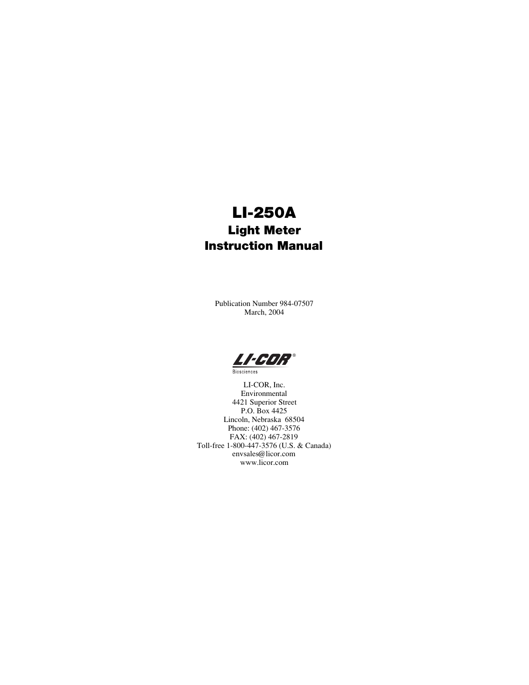# LI-250A Light Meter Instruction Manual

Publication Number 984-07507 March, 2004



**Biosciences** 

LI-COR, Inc. Environmental 4421 Superior Street P.O. Box 4425 Lincoln, Nebraska 68504 Phone: (402) 467-3576 FAX: (402) 467-2819 Toll-free 1-800-447-3576 (U.S. & Canada) envsales@licor.com www.licor.com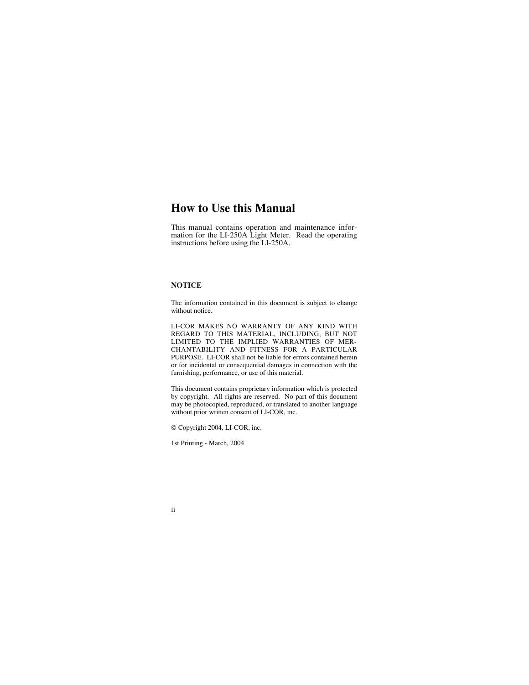### **How to Use this Manual**

This manual contains operation and maintenance information for the LI-250A Light Meter. Read the operating instructions before using the LI-250A.

#### **NOTICE**

The information contained in this document is subject to change without notice.

LI-COR MAKES NO WARRANTY OF ANY KIND WITH REGARD TO THIS MATERIAL, INCLUDING, BUT NOT LIMITED TO THE IMPLIED WARRANTIES OF MER-CHANTABILITY AND FITNESS FOR A PARTICULAR PURPOSE. LI-COR shall not be liable for errors contained herein or for incidental or consequential damages in connection with the furnishing, performance, or use of this material.

This document contains proprietary information which is protected by copyright. All rights are reserved. No part of this document may be photocopied, reproduced, or translated to another language without prior written consent of LI-COR, inc.

Copyright 2004, LI-COR, inc.

1st Printing - March, 2004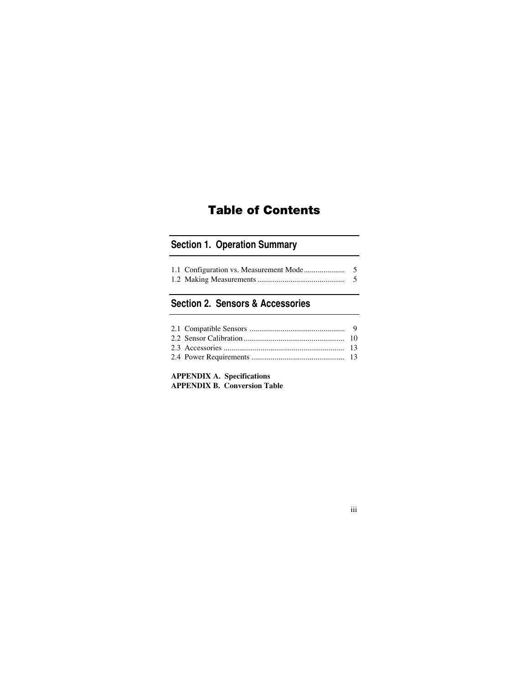# Table of Contents

### **Section 1. Operation Summary**

### **Section 2. Sensors & Accessories**

### **[APPENDIX A. Specifications](#page-13-0) [APPENDIX B. Conversion Table](#page-15-0)**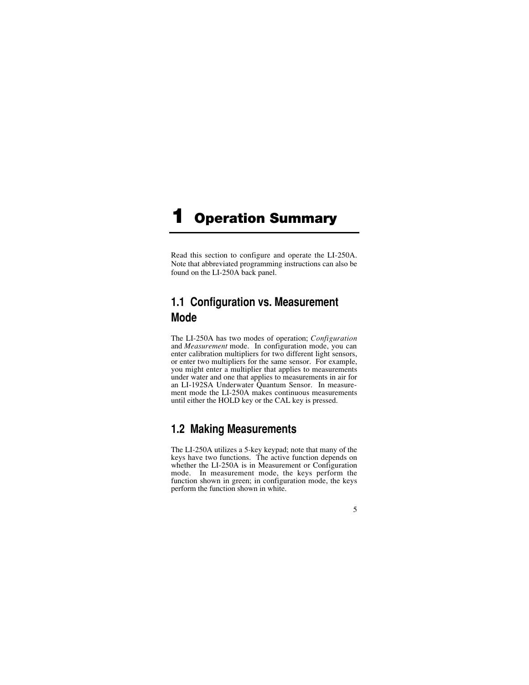# <span id="page-3-0"></span>**Operation Summary**

Read this section to configure and operate the LI-250A. Note that abbreviated programming instructions can also be found on the LI-250A back panel.

# **1.1 Configuration vs. Measurement Mode**

The LI-250A has two modes of operation; *Configuration* and *Measurement* mode. In configuration mode, you can enter calibration multipliers for two different light sensors, or enter two multipliers for the same sensor. For example, you might enter a multiplier that applies to measurements under water and one that applies to measurements in air for an LI-192SA Underwater Quantum Sensor. In measurement mode the LI-250A makes continuous measurements until either the HOLD key or the CAL key is pressed.

# **1.2 Making Measurements**

The LI-250A utilizes a 5-key keypad; note that many of the keys have two functions. The active function depends on whether the LI-250A is in Measurement or Configuration<br>mode. In measurement mode, the keys perform the In measurement mode, the keys perform the function shown in green; in configuration mode, the keys perform the function shown in white.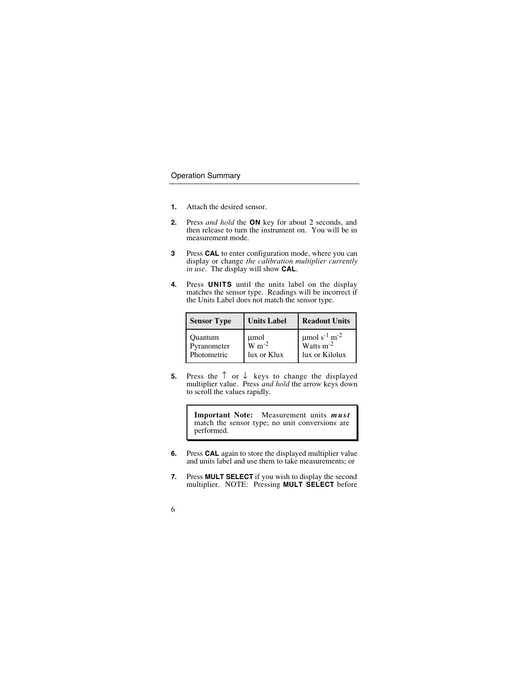- **1.** Attach the desired sensor.
- **2.** Press *and hold* the **ON** key for about 2 seconds, and then release to turn the instrument on. You will be in measurement mode.
- **3** Press **CAL** to enter configuration mode, where you can display or change *the calibration multiplier currently in use*. The display will show **CAL**.
- **4.** Press **UNITS** until the units label on the display matches the sensor type. Readings will be incorrect if the Units Label does not match the sensor type.

| <b>Sensor Type</b> | <b>Units Label</b>                    | <b>Readout Units</b>                      |
|--------------------|---------------------------------------|-------------------------------------------|
| Ouantum            | umol                                  | $\mu$ mol s <sup>-1</sup> m <sup>-2</sup> |
| Pyranometer        | $\overline{\text{W m}}$ <sup>-2</sup> | $\text{Watts}$ m <sup>-2</sup>            |
| Photometric        | lux or Klux                           | lux or Kilolux                            |

**5.** Press the  $\uparrow$  or  $\downarrow$  keys to change the displayed multiplier value. Press *and hold* the arrow keys down to scroll the values rapidly.

> **Important Note:** Measurement units *must* match the sensor type; no unit conversions are performed.

- **6.** Press **CAL** again to store the displayed multiplier value and units label and use them to take measurements; or
- **7.** Press **MULT SELECT** if you wish to display the second multiplier. NOTE: Pressing **MULT SELECT** before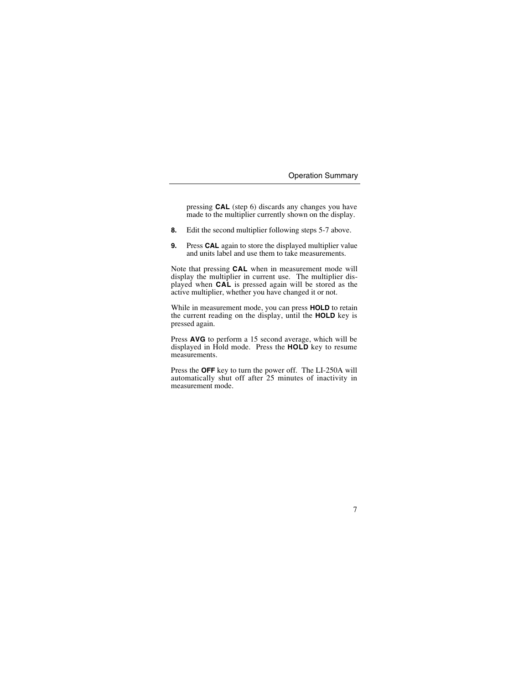pressing **CAL** (step 6) discards any changes you have made to the multiplier currently shown on the display.

- **8.** Edit the second multiplier following steps 5-7 above.
- **9.** Press **CAL** again to store the displayed multiplier value and units label and use them to take measurements.

Note that pressing **CAL** when in measurement mode will display the multiplier in current use. The multiplier displayed when **CAL** is pressed again will be stored as the active multiplier, whether you have changed it or not.

While in measurement mode, you can press **HOLD** to retain the current reading on the display, until the **HOLD** key is pressed again.

Press **AVG** to perform a 15 second average, which will be displayed in Hold mode. Press the **HOLD** key to resume measurements.

Press the **OFF** key to turn the power off. The LI-250A will automatically shut off after 25 minutes of inactivity in measurement mode.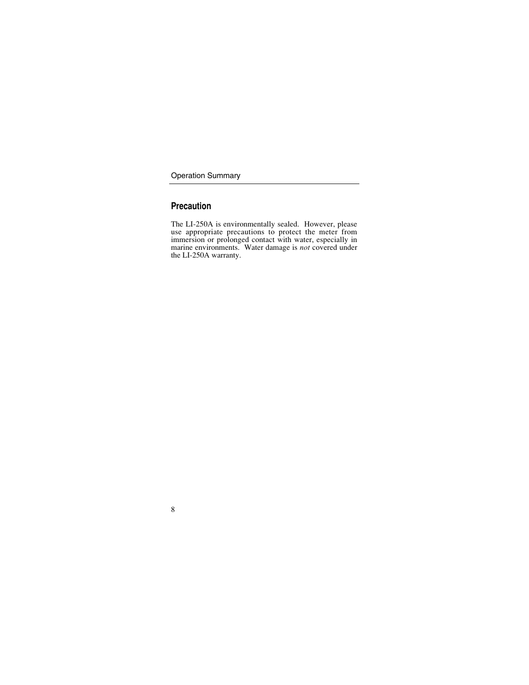### **Precaution**

The LI-250A is environmentally sealed. However, please use appropriate precautions to protect the meter from immersion or prolonged contact with water, especially in marine environments. Water damage is *not* covered under the LI-250A warranty.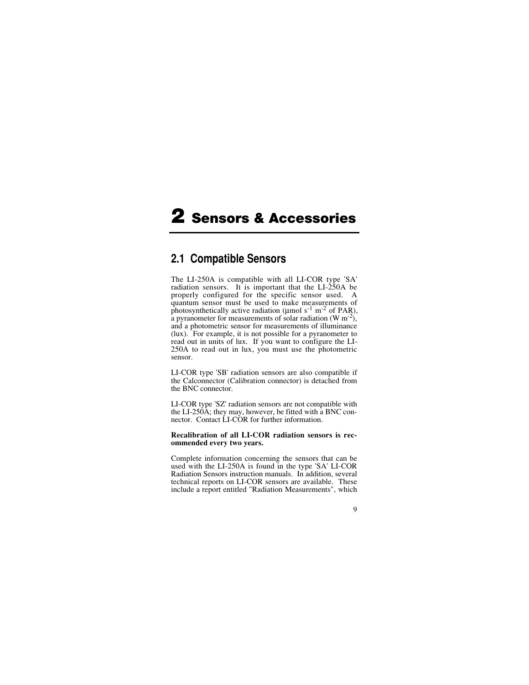# <span id="page-7-0"></span>2 Sensors & Accessories

### **2.1 Compatible Sensors**

The LI-250A is compatible with all LI-COR type 'SA' radiation sensors. It is important that the LI-250A be properly configured for the specific sensor used. A quantum sensor must be used to make measurements of photosynthetically active radiation ( $\mu$ mol s<sup>-1</sup> m<sup>-2</sup> of PAR), a pyranometer for measurements of solar radiation  $(W \, m^{-2})$ , and a photometric sensor for measurements of illuminance (lux). For example, it is not possible for a pyranometer to read out in units of lux. If you want to configure the LI-250A to read out in lux, you must use the photometric sensor.

LI-COR type 'SB' radiation sensors are also compatible if the Calconnector (Calibration connector) is detached from the BNC connector.

LI-COR type 'SZ' radiation sensors are not compatible with the LI-250A; they may, however, be fitted with a BNC connector. Contact LI-COR for further information.

#### **Recalibration of all LI-COR radiation sensors is recommended every two years.**

Complete information concerning the sensors that can be used with the LI-250A is found in the type 'SA' LI-COR Radiation Sensors instruction manuals. In addition, several technical reports on LI-COR sensors are available. These include a report entitled "Radiation Measurements", which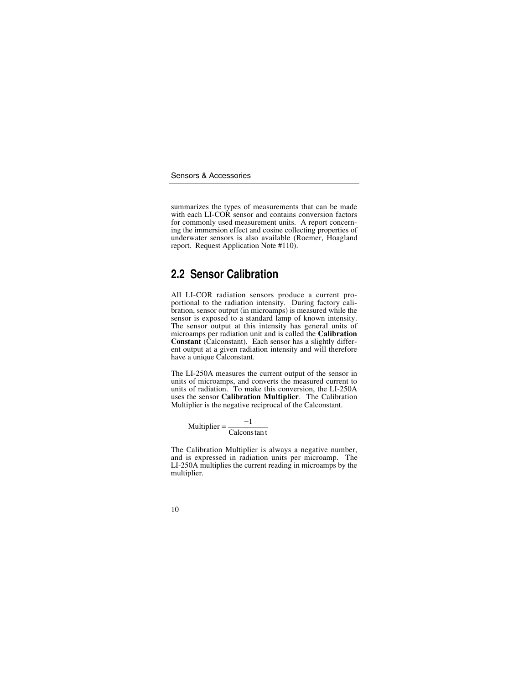<span id="page-8-0"></span>summarizes the types of measurements that can be made with each LI-COR sensor and contains conversion factors for commonly used measurement units. A report concerning the immersion effect and cosine collecting properties of underwater sensors is also available (Roemer, Hoagland report. Request Application Note #110).

## **2.2 Sensor Calibration**

All LI-COR radiation sensors produce a current proportional to the radiation intensity. During factory calibration, sensor output (in microamps) is measured while the sensor is exposed to a standard lamp of known intensity. The sensor output at this intensity has general units of microamps per radiation unit and is called the **Calibration** Constant (Calconstant). Each sensor has a slightly different output at a given radiation intensity and will therefore have a unique Calconstant.

The LI-250A measures the current output of the sensor in units of microamps, and converts the measured current to units of radiation. To make this conversion, the LI-250A uses the sensor **Calibration Multiplier**. The Calibration Multiplier is the negative reciprocal of the Calconstant.

$$
Multiplier = \frac{-1}{Calcons \tan t}
$$

The Calibration Multiplier is always a negative number, and is expressed in radiation units per microamp. The LI-250A multiplies the current reading in microamps by the multiplier.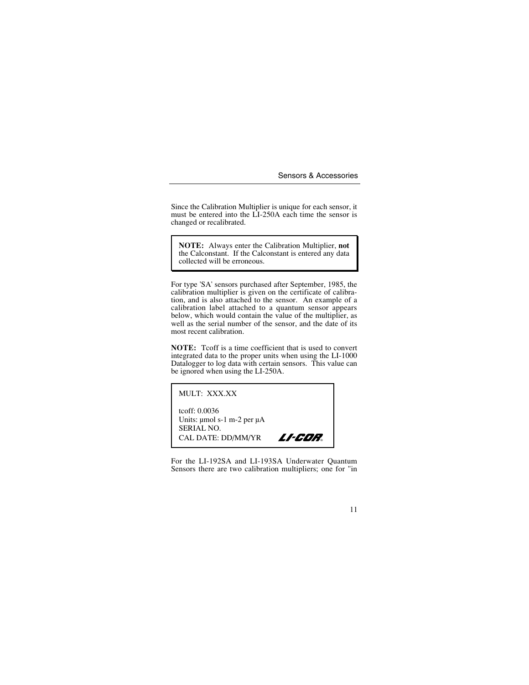Since the Calibration Multiplier is unique for each sensor, it must be entered into the LI-250A each time the sensor is changed or recalibrated.

**NOTE:** Always enter the Calibration Multiplier, **not** the Calconstant. If the Calconstant is entered any data collected will be erroneous.

For type 'SA' sensors purchased after September, 1985, the calibration multiplier is given on the certificate of calibration, and is also attached to the sensor. An example of a calibration label attached to a quantum sensor appears below, which would contain the value of the multiplier, as well as the serial number of the sensor, and the date of its most recent calibration.

**NOTE:** Tcoff is a time coefficient that is used to convert integrated data to the proper units when using the LI-1000 Datalogger to log data with certain sensors. This value can be ignored when using the LI-250A.

MULT: XXX.XX

tcoff: 0.0036 Units: µmol s-1 m-2 per µA SERIAL NO. CAL DATE: DD/MM/YR **LI-COR** 

For the LI-192SA and LI-193SA Underwater Quantum Sensors there are two calibration multipliers; one for "in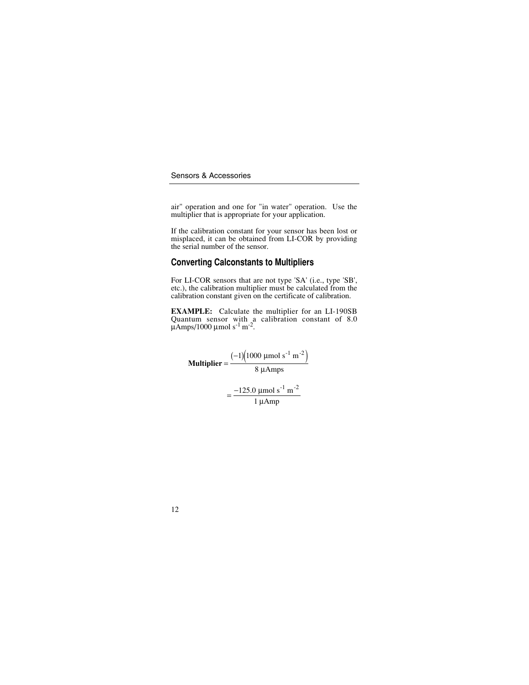air" operation and one for "in water" operation. Use the multiplier that is appropriate for your application.

If the calibration constant for your sensor has been lost or misplaced, it can be obtained from LI-COR by providing the serial number of the sensor.

### **Converting Calconstants to Multipliers**

For LI-COR sensors that are not type 'SA' (i.e., type 'SB', etc.), the calibration multiplier must be calculated from the calibration constant given on the certificate of calibration.

**EXAMPLE:** Calculate the multiplier for an LI-190SB Quantum sensor with a calibration constant of 8.0  $\mu$ Amps/1000  $\mu$ mol s<sup>-1</sup> m<sup>-2</sup>.

**Multiplier** = 
$$
\frac{(-1)(1000 \text{ µmol s}^{-1} \text{ m}^{-2})}{8 \text{ µAmps}}
$$

$$
= \frac{-125.0 \text{ µmol s}^{-1} \text{ m}^{-2}}{1 \text{ µAmp}}
$$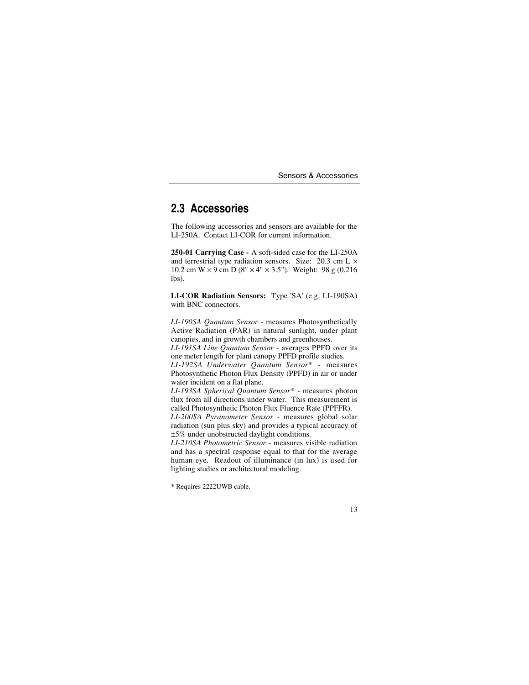# <span id="page-11-0"></span>**2.3 Accessories**

The following accessories and sensors are available for the LI-250A. Contact LI-COR for current information.

**250-01 Carrying Case -** A soft-sided case for the LI-250A and terrestrial type radiation sensors. Size:  $20.3$  cm L  $\times$ 10.2 cm W  $\times$  9 cm D (8"  $\times$  4"  $\times$  3.5"). Weight: 98 g (0.216) lbs).

**LI-COR Radiation Sensors:** Type 'SA' (e.g. LI-190SA) with **BNC** connectors.

*LI-190SA Quantum Sensor* - measures Photosynthetically Active Radiation (PAR) in natural sunlight, under plant canopies, and in growth chambers and greenhouses.

*LI-191SA Line Quantum Sensor* - averages PPFD over its one meter length for plant canopy PPFD profile studies.

*LI-192SA Underwater Quantum Sensor\** - measures Photosynthetic Photon Flux Density (PPFD) in air or under water incident on a flat plane.

*LI-193SA Spherical Quantum Sensor\** - measures photon flux from all directions under water. This measurement is called Photosynthetic Photon Flux Fluence Rate (PPFFR).

*LI-200SA Pyranometer Sensor* - measures global solar radiation (sun plus sky) and provides a typical accuracy of ±5% under unobstructed daylight conditions.

*LI-210SA Photometric Sensor* - measures visible radiation and has a spectral response equal to that for the average human eye. Readout of illuminance (in lux) is used for lighting studies or architectural modeling.

<sup>\*</sup> Requires 2222UWB cable.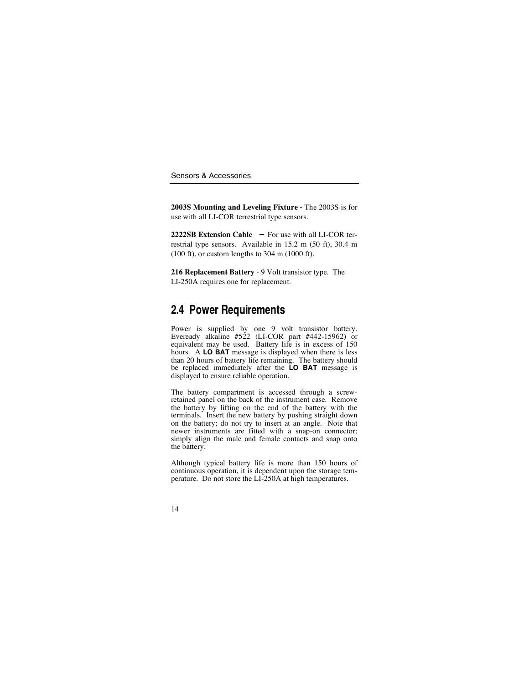**2003S Mounting and Leveling Fixture -** The 2003S is for use with all LI-COR terrestrial type sensors.

**2222SB Extension Cable** - For use with all LI-COR terrestrial type sensors. Available in 15.2 m (50 ft), 30.4 m (100 ft), or custom lengths to 304 m (1000 ft).

**216 Replacement Battery** - 9 Volt transistor type. The LI-250A requires one for replacement.

## **2.4 Power Requirements**

Power is supplied by one 9 volt transistor battery. Eveready alkaline #522 (LI-COR part #442-15962) or equivalent may be used. Battery life is in excess of 150 hours. A **LO BAT** message is displayed when there is less than 20 hours of battery life remaining. The battery should be replaced immediately after the **LO BAT** message is displayed to ensure reliable operation.

The battery compartment is accessed through a screw-<br>retained panel on the back of the instrument case. Remove<br>the battery by lifting on the end of the battery with the terminals. Insert the new battery by pushing straight down on the battery; do not try to insert at an angle. Note that newer instruments are fitted with a snap-on connector; simply align the male and female contacts and snap onto the battery.

Although typical battery life is more than 150 hours of continuous operation, it is dependent upon the storage temperature. Do not store the LI-250A at high temperatures.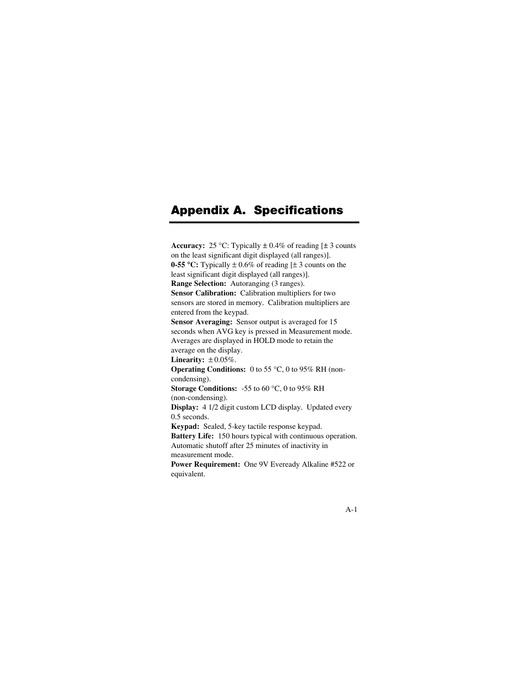# <span id="page-13-0"></span>Appendix A. Specifications

**Accuracy:** 25 °C: Typically  $\pm$  0.4% of reading  $[\pm 3]$  counts on the least significant digit displayed (all ranges)].

**0-55 °C:** Typically  $\pm 0.6\%$  of reading [ $\pm 3$  counts on the least significant digit displayed (all ranges)].

**Range Selection:** Autoranging (3 ranges).

**Sensor Calibration:** Calibration multipliers for two sensors are stored in memory. Calibration multipliers are entered from the keypad.

**Sensor Averaging:** Sensor output is averaged for 15 seconds when AVG key is pressed in Measurement mode. Averages are displayed in HOLD mode to retain the average on the display.

**Linearity:**  $\pm 0.05\%$ .

**Operating Conditions:** 0 to 55 °C, 0 to 95% RH (noncondensing).

**Storage Conditions:** -55 to 60 °C, 0 to 95% RH (non-condensing).

**Display:** 4 1/2 digit custom LCD display. Updated every 0.5 seconds.

**Keypad:** Sealed, 5-key tactile response keypad.

**Battery Life:** 150 hours typical with continuous operation. Automatic shutoff after 25 minutes of inactivity in measurement mode.

**Power Requirement:** One 9V Eveready Alkaline #522 or equivalent.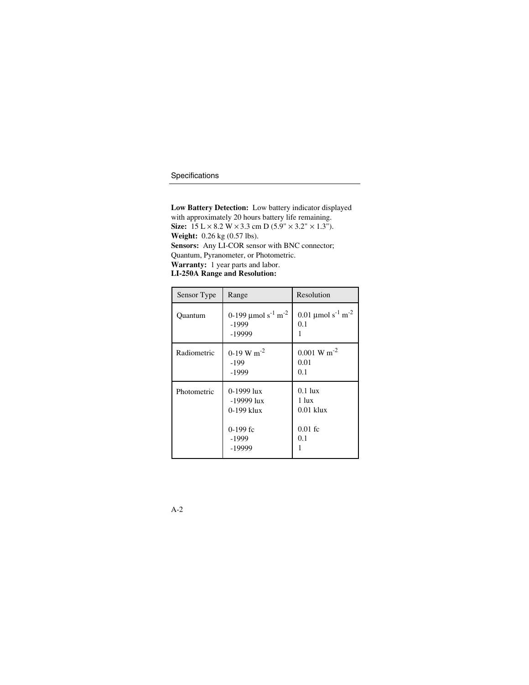**Low Battery Detection:** Low battery indicator displayed with approximately 20 hours battery life remaining.

**Size:**  $15 L \times 8.2 W \times 3.3$  cm D (5.9"  $\times 3.2$ "  $\times 1.3$ ").

**Weight:** 0.26 kg (0.57 lbs).

**Sensors:** Any LI-COR sensor with BNC connector; Quantum, Pyranometer, or Photometric.

**Warranty:** 1 year parts and labor.

**LI-250A Range and Resolution:**

| Sensor Type | Range                                                                       | Resolution                                            |
|-------------|-----------------------------------------------------------------------------|-------------------------------------------------------|
| Quantum     | 0-199 $\mu$ mol s <sup>-1</sup> m <sup>-2</sup><br>$-1999$<br>-19999        | 0.01 µmol s <sup>-1</sup> m <sup>-2</sup><br>0.1      |
| Radiometric | $0-19$ W m <sup>-2</sup><br>-199<br>$-1999$                                 | $0.001 \text{ W m}^{-2}$<br>0.01<br>0.1               |
| Photometric | 0-1999 lux<br>$-19999$ lux<br>$0-199$ klux<br>$0-199$ fc<br>-1999<br>-19999 | $0.1$ lux<br>1 lux<br>$0.01$ klux<br>$0.01$ fc<br>0.1 |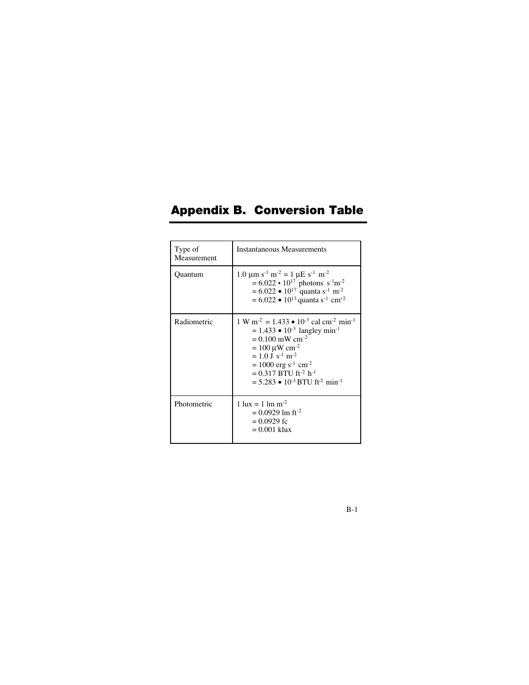# <span id="page-15-0"></span>Appendix B. Conversion Table

| Type of<br>Measurement | <b>Instantaneous Measurements</b>                                                                                                                                                                                                                                                                                                                                                                         |
|------------------------|-----------------------------------------------------------------------------------------------------------------------------------------------------------------------------------------------------------------------------------------------------------------------------------------------------------------------------------------------------------------------------------------------------------|
| Quantum                | $1.0 \text{ }\mu\text{m s}^{-1} \text{ m}^{-2} = 1 \text{ }\mu\text{E s}^{-1} \text{ m}^{-2}$<br>$= 6.022 \cdot 10^{17}$ photons s <sup>-1</sup> m <sup>-2</sup><br>$= 6.022 \cdot 10^{17}$ quanta s <sup>-1</sup> m <sup>-2</sup><br>$= 6.022 \cdot 10^{13}$ quanta s <sup>-1</sup> cm <sup>-2</sup>                                                                                                     |
| Radiometric            | $1 \text{ W m}^2 = 1.433 \cdot 10^{-3} \text{ cal cm}^2 \text{ min}^{-1}$<br>$= 1.433 \cdot 10^{-3}$ langley min <sup>-1</sup><br>$= 0.100$ mW cm <sup>-2</sup><br>$= 100 \mu W cm^{-2}$<br>$= 1.0$ J s <sup>-1</sup> m <sup>-2</sup><br>$= 1000$ erg s <sup>-1</sup> cm <sup>-2</sup><br>$= 0.317$ BTU ft <sup>-2</sup> h <sup>-1</sup><br>$= 5.283 \cdot 10^{-3}$ BTU fr <sup>2</sup> min <sup>-1</sup> |
| Photometric            | $1 \text{ lux} = 1 \text{ lm m}^{-2}$<br>$= 0.0929$ lm ft <sup>-2</sup><br>$= 0.0929$ fc<br>$= 0.001$ klux                                                                                                                                                                                                                                                                                                |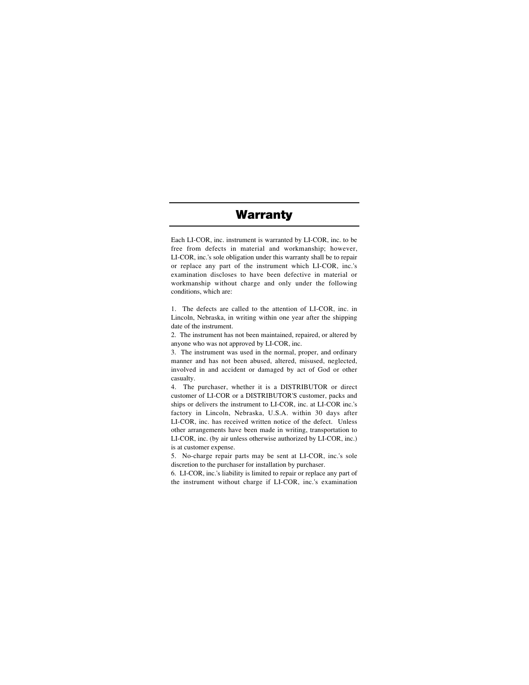# **Warranty**

Each LI-COR, inc. instrument is warranted by LI-COR, inc. to be free from defects in material and workmanship; however, LI-COR, inc.'s sole obligation under this warranty shall be to repair or replace any part of the instrument which LI-COR, inc.'s examination discloses to have been defective in material or workmanship without charge and only under the following conditions, which are:

1. The defects are called to the attention of LI-COR, inc. in Lincoln, Nebraska, in writing within one year after the shipping date of the instrument.

2. The instrument has not been maintained, repaired, or altered by anyone who was not approved by LI-COR, inc.

3. The instrument was used in the normal, proper, and ordinary manner and has not been abused, altered, misused, neglected, involved in and accident or damaged by act of God or other casualty.

4. The purchaser, whether it is a DISTRIBUTOR or direct customer of LI-COR or a DISTRIBUTOR'S customer, packs and ships or delivers the instrument to LI-COR, inc. at LI-COR inc.'s factory in Lincoln, Nebraska, U.S.A. within 30 days after LI-COR, inc. has received written notice of the defect. Unless other arrangements have been made in writing, transportation to LI-COR, inc. (by air unless otherwise authorized by LI-COR, inc.) is at customer expense.

5. No-charge repair parts may be sent at LI-COR, inc.'s sole discretion to the purchaser for installation by purchaser.

6. LI-COR, inc.'s liability is limited to repair or replace any part of the instrument without charge if LI-COR, inc.'s examination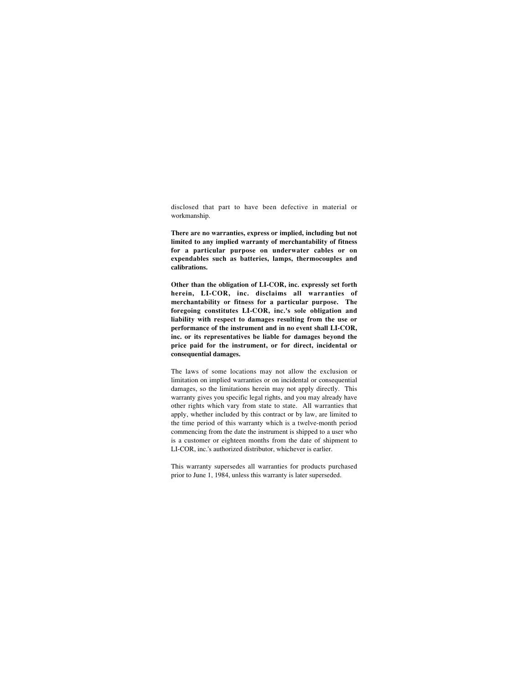disclosed that part to have been defective in material or workmanship.

**There are no warranties, express or implied, including but not limited to any implied warranty of merchantability of fitness for a particular purpose on underwater cables or on expendables such as batteries, lamps, thermocouples and calibrations.**

**Other than the obligation of LI-COR, inc. expressly set forth herein, LI-COR, inc. disclaims all warranties of merchantability or fitness for a particular purpose. The foregoing constitutes LI-COR, inc.'s sole obligation and liability with respect to damages resulting from the use or performance of the instrument and in no event shall LI-COR, inc. or its representatives be liable for damages beyond the price paid for the instrument, or for direct, incidental or consequential damages.**

The laws of some locations may not allow the exclusion or limitation on implied warranties or on incidental or consequential damages, so the limitations herein may not apply directly. This warranty gives you specific legal rights, and you may already have other rights which vary from state to state. All warranties that apply, whether included by this contract or by law, are limited to the time period of this warranty which is a twelve-month period commencing from the date the instrument is shipped to a user who is a customer or eighteen months from the date of shipment to LI-COR, inc.'s authorized distributor, whichever is earlier.

This warranty supersedes all warranties for products purchased prior to June 1, 1984, unless this warranty is later superseded.